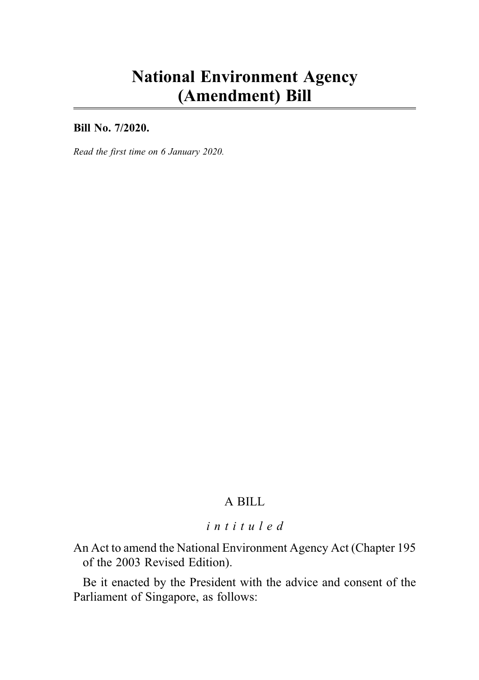# National Environment Agency (Amendment) Bill

Bill No. 7/2020.

Read the first time on 6 January 2020.

# A BILL

# intituled

An Act to amend the National Environment Agency Act (Chapter 195 of the 2003 Revised Edition).

Be it enacted by the President with the advice and consent of the Parliament of Singapore, as follows: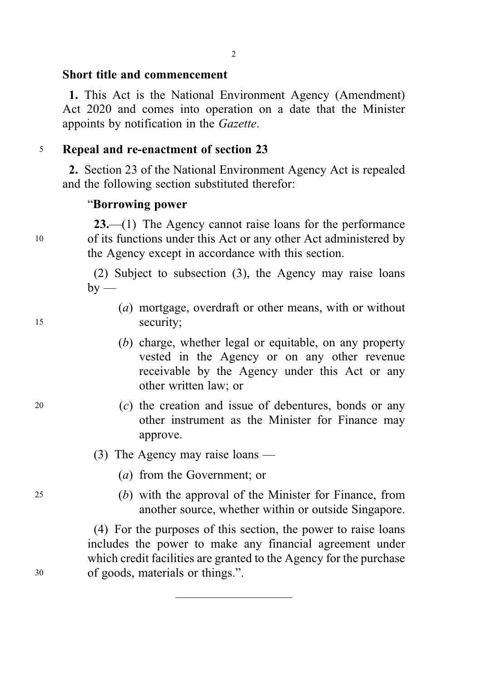## Short title and commencement

1. This Act is the National Environment Agency (Amendment) Act 2020 and comes into operation on a date that the Minister appoints by notification in the Gazette.

# <sup>5</sup> Repeal and re-enactment of section 23

2. Section 23 of the National Environment Agency Act is repealed and the following section substituted therefor:

#### "Borrowing power

23.—(1) The Agency cannot raise loans for the performance <sup>10</sup> of its functions under this Act or any other Act administered by the Agency except in accordance with this section.

> (2) Subject to subsection (3), the Agency may raise loans  $by$  —

- (a) mortgage, overdraft or other means, with or without <sup>15</sup> security;
	- (b) charge, whether legal or equitable, on any property vested in the Agency or on any other revenue receivable by the Agency under this Act or any other written law; or
- <sup>20</sup> (c) the creation and issue of debentures, bonds or any other instrument as the Minister for Finance may approve.

# (3) The Agency may raise loans —

- (a) from the Government; or
- <sup>25</sup> (b) with the approval of the Minister for Finance, from another source, whether within or outside Singapore.

(4) For the purposes of this section, the power to raise loans includes the power to make any financial agreement under which credit facilities are granted to the Agency for the purchase <sup>30</sup> of goods, materials or things.".